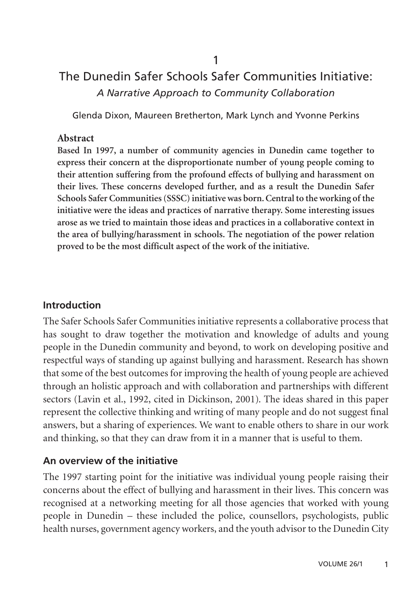# The Dunedin Safer Schools Safer Communities Initiative: *A Narrative Approach to Community Collaboration*

Glenda Dixon, Maureen Bretherton, Mark Lynch and Yvonne Perkins

#### **Abstract**

**Based In 1997, a number of community agencies in Dunedin came together to express their concern at the disproportionate number of young people coming to their attention suffering from the profound effects of bullying and harassment on their lives. These concerns developed further, and as a result the Dunedin Safer Schools Safer Communities (SSSC) initiative was born. Central to the working of the initiative were the ideas and practices of narrative therapy. Some interesting issues arose as we tried to maintain those ideas and practices in a collaborative context in the area of bullying/harassment in schools. The negotiation of the power relation proved to be the most difficult aspect of the work of the initiative.**

### **Introduction**

The Safer Schools Safer Communities initiative represents a collaborative process that has sought to draw together the motivation and knowledge of adults and young people in the Dunedin community and beyond, to work on developing positive and respectful ways of standing up against bullying and harassment. Research has shown that some of the best outcomes for improving the health of young people are achieved through an holistic approach and with collaboration and partnerships with different sectors (Lavin et al., 1992, cited in Dickinson, 2001). The ideas shared in this paper represent the collective thinking and writing of many people and do not suggest final answers, but a sharing of experiences. We want to enable others to share in our work and thinking, so that they can draw from it in a manner that is useful to them.

## **An overview of the initiative**

The 1997 starting point for the initiative was individual young people raising their concerns about the effect of bullying and harassment in their lives. This concern was recognised at a networking meeting for all those agencies that worked with young people in Dunedin – these included the police, counsellors, psychologists, public health nurses, government agency workers, and the youth advisor to the Dunedin City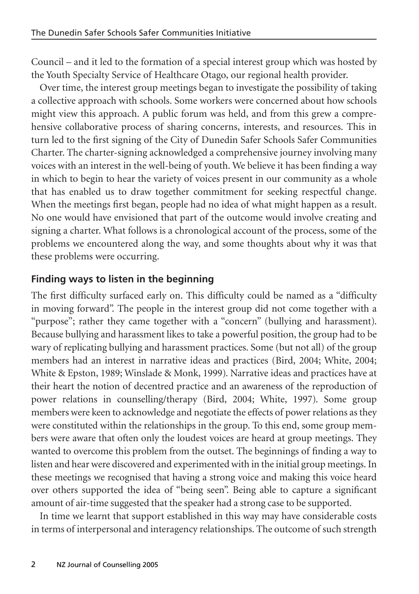Council – and it led to the formation of a special interest group which was hosted by the Youth Specialty Service of Healthcare Otago, our regional health provider.

Over time, the interest group meetings began to investigate the possibility of taking a collective approach with schools. Some workers were concerned about how schools might view this approach. A public forum was held, and from this grew a comprehensive collaborative process of sharing concerns, interests, and resources. This in turn led to the first signing of the City of Dunedin Safer Schools Safer Communities Charter. The charter-signing acknowledged a comprehensive journey involving many voices with an interest in the well-being of youth. We believe it has been finding a way in which to begin to hear the variety of voices present in our community as a whole that has enabled us to draw together commitment for seeking respectful change. When the meetings first began, people had no idea of what might happen as a result. No one would have envisioned that part of the outcome would involve creating and signing a charter. What follows is a chronological account of the process, some of the problems we encountered along the way, and some thoughts about why it was that these problems were occurring.

### **Finding ways to listen in the beginning**

The first difficulty surfaced early on. This difficulty could be named as a "difficulty in moving forward". The people in the interest group did not come together with a "purpose"; rather they came together with a "concern" (bullying and harassment). Because bullying and harassment likes to take a powerful position, the group had to be wary of replicating bullying and harassment practices. Some (but not all) of the group members had an interest in narrative ideas and practices (Bird, 2004; White, 2004; White & Epston, 1989; Winslade & Monk, 1999). Narrative ideas and practices have at their heart the notion of decentred practice and an awareness of the reproduction of power relations in counselling/therapy (Bird, 2004; White, 1997). Some group members were keen to acknowledge and negotiate the effects of power relations as they were constituted within the relationships in the group. To this end, some group members were aware that often only the loudest voices are heard at group meetings. They wanted to overcome this problem from the outset. The beginnings of finding a way to listen and hear were discovered and experimented with in the initial group meetings. In these meetings we recognised that having a strong voice and making this voice heard over others supported the idea of "being seen". Being able to capture a significant amount of air-time suggested that the speaker had a strong case to be supported.

In time we learnt that support established in this way may have considerable costs in terms of interpersonal and interagency relationships. The outcome of such strength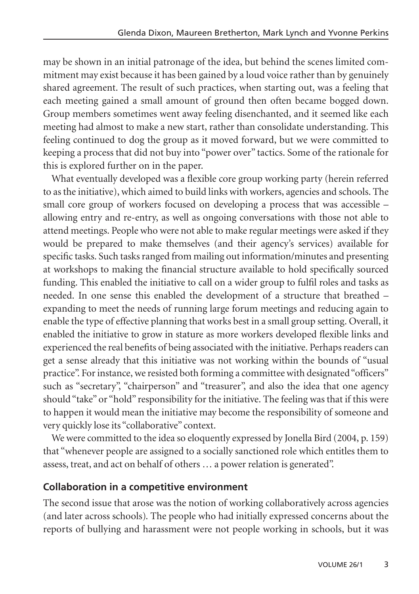may be shown in an initial patronage of the idea, but behind the scenes limited commitment may exist because it has been gained by a loud voice rather than by genuinely shared agreement. The result of such practices, when starting out, was a feeling that each meeting gained a small amount of ground then often became bogged down. Group members sometimes went away feeling disenchanted, and it seemed like each meeting had almost to make a new start, rather than consolidate understanding. This feeling continued to dog the group as it moved forward, but we were committed to keeping a process that did not buy into "power over" tactics. Some of the rationale for this is explored further on in the paper.

What eventually developed was a flexible core group working party (herein referred to as the initiative), which aimed to build links with workers, agencies and schools. The small core group of workers focused on developing a process that was accessible – allowing entry and re-entry, as well as ongoing conversations with those not able to attend meetings. People who were not able to make regular meetings were asked if they would be prepared to make themselves (and their agency's services) available for specific tasks. Such tasks ranged from mailing out information/minutes and presenting at workshops to making the financial structure available to hold specifically sourced funding. This enabled the initiative to call on a wider group to fulfil roles and tasks as needed. In one sense this enabled the development of a structure that breathed – expanding to meet the needs of running large forum meetings and reducing again to enable the type of effective planning that works best in a small group setting. Overall, it enabled the initiative to grow in stature as more workers developed flexible links and experienced the real benefits of being associated with the initiative. Perhaps readers can get a sense already that this initiative was not working within the bounds of "usual practice". For instance, we resisted both forming a committee with designated "officers" such as "secretary", "chairperson" and "treasurer", and also the idea that one agency should "take" or "hold" responsibility for the initiative. The feeling was that if this were to happen it would mean the initiative may become the responsibility of someone and very quickly lose its "collaborative" context.

We were committed to the idea so eloquently expressed by Jonella Bird (2004, p. 159) that "whenever people are assigned to a socially sanctioned role which entitles them to assess, treat, and act on behalf of others … a power relation is generated".

### **Collaboration in a competitive environment**

The second issue that arose was the notion of working collaboratively across agencies (and later across schools). The people who had initially expressed concerns about the reports of bullying and harassment were not people working in schools, but it was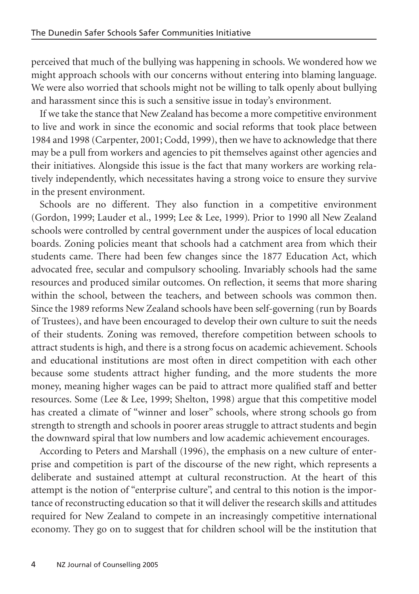perceived that much of the bullying was happening in schools. We wondered how we might approach schools with our concerns without entering into blaming language. We were also worried that schools might not be willing to talk openly about bullying and harassment since this is such a sensitive issue in today's environment.

If we take the stance that New Zealand has become a more competitive environment to live and work in since the economic and social reforms that took place between 1984 and 1998 (Carpenter, 2001; Codd, 1999), then we have to acknowledge that there may be a pull from workers and agencies to pit themselves against other agencies and their initiatives. Alongside this issue is the fact that many workers are working relatively independently, which necessitates having a strong voice to ensure they survive in the present environment.

Schools are no different. They also function in a competitive environment (Gordon, 1999; Lauder et al., 1999; Lee & Lee, 1999). Prior to 1990 all New Zealand schools were controlled by central government under the auspices of local education boards. Zoning policies meant that schools had a catchment area from which their students came. There had been few changes since the 1877 Education Act, which advocated free, secular and compulsory schooling. Invariably schools had the same resources and produced similar outcomes. On reflection, it seems that more sharing within the school, between the teachers, and between schools was common then. Since the 1989 reforms New Zealand schools have been self-governing (run by Boards of Trustees), and have been encouraged to develop their own culture to suit the needs of their students. Zoning was removed, therefore competition between schools to attract students is high, and there is a strong focus on academic achievement. Schools and educational institutions are most often in direct competition with each other because some students attract higher funding, and the more students the more money, meaning higher wages can be paid to attract more qualified staff and better resources. Some (Lee & Lee, 1999; Shelton, 1998) argue that this competitive model has created a climate of "winner and loser" schools, where strong schools go from strength to strength and schools in poorer areas struggle to attract students and begin the downward spiral that low numbers and low academic achievement encourages.

According to Peters and Marshall (1996), the emphasis on a new culture of enterprise and competition is part of the discourse of the new right, which represents a deliberate and sustained attempt at cultural reconstruction. At the heart of this attempt is the notion of "enterprise culture", and central to this notion is the importance of reconstructing education so that it will deliver the research skills and attitudes required for New Zealand to compete in an increasingly competitive international economy. They go on to suggest that for children school will be the institution that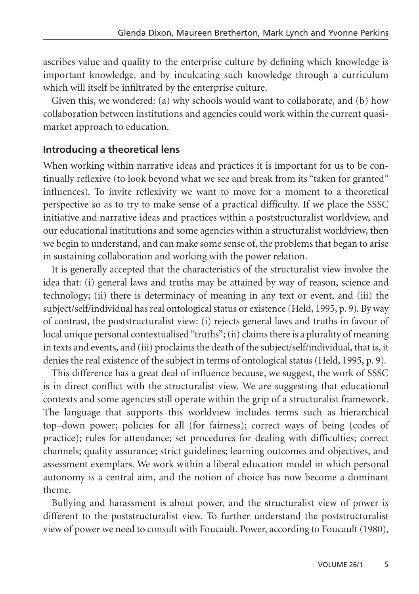ascribes value and quality to the enterprise culture by defining which knowledge is important knowledge, and by inculcating such knowledge through a curriculum which will itself be infiltrated by the enterprise culture.

Given this, we wondered: (a) why schools would want to collaborate, and (b) how collaboration between institutions and agencies could work within the current quasimarket approach to education.

#### **Introducing a theoretical lens**

When working within narrative ideas and practices it is important for us to be continually reflexive (to look beyond what we see and break from its "taken for granted" influences). To invite reflexivity we want to move for a moment to a theoretical perspective so as to try to make sense of a practical difficulty. If we place the SSSC initiative and narrative ideas and practices within a poststructuralist worldview, and our educational institutions and some agencies within a structuralist worldview, then we begin to understand, and can make some sense of, the problems that began to arise in sustaining collaboration and working with the power relation.

It is generally accepted that the characteristics of the structuralist view involve the idea that: (i) general laws and truths may be attained by way of reason, science and technology; (ii) there is determinacy of meaning in any text or event, and (iii) the subject/self/individual has real ontological status or existence (Held, 1995, p. 9). By way of contrast, the poststructuralist view: (i) rejects general laws and truths in favour of local unique personal contextualised "truths"; (ii) claims there is a plurality of meaning in texts and events, and (iii) proclaims the death of the subject/self/individual, that is, it denies the real existence of the subject in terms of ontological status (Held, 1995, p. 9).

This difference has a great deal of influence because, we suggest, the work of SSSC is in direct conflict with the structuralist view. We are suggesting that educational contexts and some agencies still operate within the grip of a structuralist framework. The language that supports this worldview includes terms such as hierarchical top–down power; policies for all (for fairness); correct ways of being (codes of practice); rules for attendance; set procedures for dealing with difficulties; correct channels; quality assurance; strict guidelines; learning outcomes and objectives, and assessment exemplars. We work within a liberal education model in which personal autonomy is a central aim, and the notion of choice has now become a dominant theme.

Bullying and harassment is about power, and the structuralist view of power is different to the poststructuralist view. To further understand the poststructuralist view of power we need to consult with Foucault. Power, according to Foucault (1980),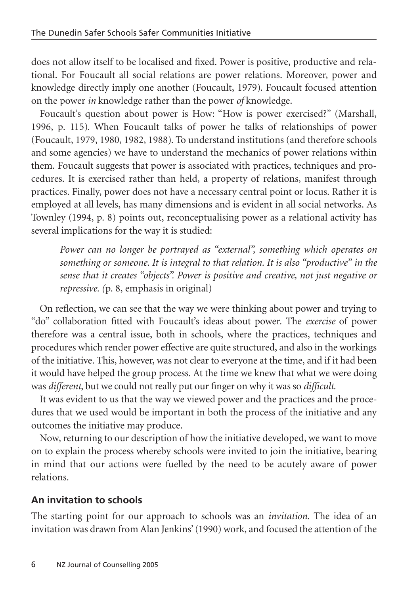does not allow itself to be localised and fixed. Power is positive, productive and relational. For Foucault all social relations are power relations. Moreover, power and knowledge directly imply one another (Foucault, 1979). Foucault focused attention on the power *in* knowledge rather than the power *of* knowledge.

Foucault's question about power is How: "How is power exercised?" (Marshall, 1996, p. 115). When Foucault talks of power he talks of relationships of power (Foucault, 1979, 1980, 1982, 1988). To understand institutions (and therefore schools and some agencies) we have to understand the mechanics of power relations within them. Foucault suggests that power is associated with practices, techniques and procedures. It is exercised rather than held, a property of relations, manifest through practices. Finally, power does not have a necessary central point or locus. Rather it is employed at all levels, has many dimensions and is evident in all social networks. As Townley (1994, p. 8) points out, reconceptualising power as a relational activity has several implications for the way it is studied:

*Power can no longer be portrayed as "external", something which operates on something or someone. It is integral to that relation. It is also "productive" in the sense that it creates "objects". Power is positive and creative, not just negative or repressive. (*p. 8, emphasis in original)

On reflection, we can see that the way we were thinking about power and trying to "do" collaboration fitted with Foucault's ideas about power. The *exercise* of power therefore was a central issue, both in schools, where the practices, techniques and procedures which render power effective are quite structured, and also in the workings of the initiative. This, however, was not clear to everyone at the time, and if it had been it would have helped the group process. At the time we knew that what we were doing was *different*, but we could not really put our finger on why it was so *difficult*.

It was evident to us that the way we viewed power and the practices and the procedures that we used would be important in both the process of the initiative and any outcomes the initiative may produce.

Now, returning to our description of how the initiative developed, we want to move on to explain the process whereby schools were invited to join the initiative, bearing in mind that our actions were fuelled by the need to be acutely aware of power relations.

#### **An invitation to schools**

The starting point for our approach to schools was an *invitation*. The idea of an invitation was drawn from Alan Jenkins' (1990) work, and focused the attention of the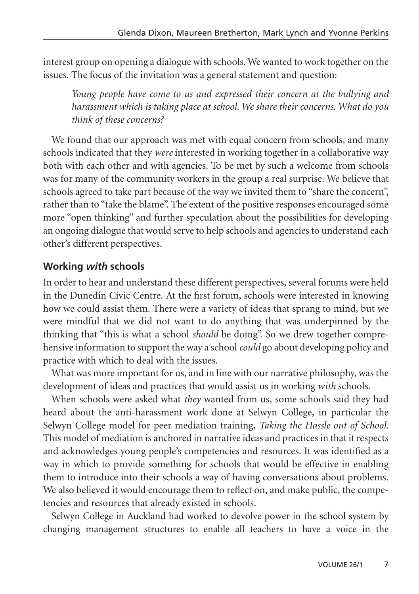interest group on opening a dialogue with schools. We wanted to work together on the issues. The focus of the invitation was a general statement and question:

*Young people have come to us and expressed their concern at the bullying and harassment which is taking place at school. We share their concerns. What do you think of these concerns?*

We found that our approach was met with equal concern from schools, and many schools indicated that they *were* interested in working together in a collaborative way both with each other and with agencies. To be met by such a welcome from schools was for many of the community workers in the group a real surprise. We believe that schools agreed to take part because of the way we invited them to "share the concern", rather than to "take the blame". The extent of the positive responses encouraged some more "open thinking" and further speculation about the possibilities for developing an ongoing dialogue that would serve to help schools and agencies to understand each other's different perspectives.

## **Working** *with* **schools**

In order to hear and understand these different perspectives, several forums were held in the Dunedin Civic Centre. At the first forum, schools were interested in knowing how we could assist them. There were a variety of ideas that sprang to mind, but we were mindful that we did not want to do anything that was underpinned by the thinking that "this is what a school *should* be doing". So we drew together comprehensive information to support the way a school *could* go about developing policy and practice with which to deal with the issues.

What was more important for us, and in line with our narrative philosophy, was the development of ideas and practices that would assist us in working *with* schools.

When schools were asked what *they* wanted from us, some schools said they had heard about the anti-harassment work done at Selwyn College, in particular the Selwyn College model for peer mediation training, *Taking the Hassle out of School*. This model of mediation is anchored in narrative ideas and practices in that it respects and acknowledges young people's competencies and resources. It was identified as a way in which to provide something for schools that would be effective in enabling them to introduce into their schools a way of having conversations about problems. We also believed it would encourage them to reflect on, and make public, the competencies and resources that already existed in schools.

Selwyn College in Auckland had worked to devolve power in the school system by changing management structures to enable all teachers to have a voice in the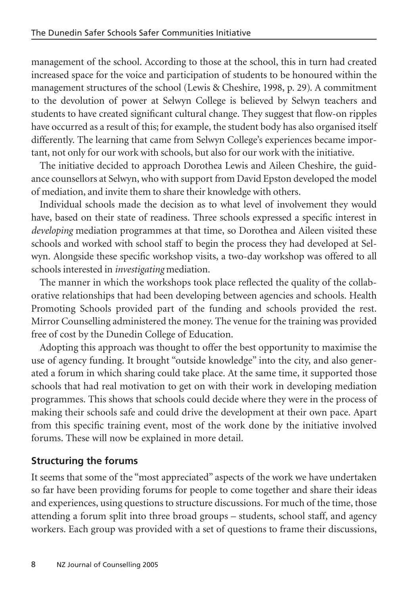management of the school. According to those at the school, this in turn had created increased space for the voice and participation of students to be honoured within the management structures of the school (Lewis & Cheshire, 1998, p. 29). A commitment to the devolution of power at Selwyn College is believed by Selwyn teachers and students to have created significant cultural change. They suggest that flow-on ripples have occurred as a result of this; for example, the student body has also organised itself differently. The learning that came from Selwyn College's experiences became important, not only for our work with schools, but also for our work with the initiative.

The initiative decided to approach Dorothea Lewis and Aileen Cheshire, the guidance counsellors at Selwyn, who with support from David Epston developed the model of mediation, and invite them to share their knowledge with others.

Individual schools made the decision as to what level of involvement they would have, based on their state of readiness. Three schools expressed a specific interest in *developing* mediation programmes at that time, so Dorothea and Aileen visited these schools and worked with school staff to begin the process they had developed at Selwyn. Alongside these specific workshop visits, a two-day workshop was offered to all schools interested in *investigating* mediation.

The manner in which the workshops took place reflected the quality of the collaborative relationships that had been developing between agencies and schools. Health Promoting Schools provided part of the funding and schools provided the rest. Mirror Counselling administered the money. The venue for the training was provided free of cost by the Dunedin College of Education.

Adopting this approach was thought to offer the best opportunity to maximise the use of agency funding. It brought "outside knowledge" into the city, and also generated a forum in which sharing could take place. At the same time, it supported those schools that had real motivation to get on with their work in developing mediation programmes. This shows that schools could decide where they were in the process of making their schools safe and could drive the development at their own pace. Apart from this specific training event, most of the work done by the initiative involved forums. These will now be explained in more detail.

## **Structuring the forums**

It seems that some of the "most appreciated" aspects of the work we have undertaken so far have been providing forums for people to come together and share their ideas and experiences, using questions to structure discussions. For much of the time, those attending a forum split into three broad groups – students, school staff, and agency workers. Each group was provided with a set of questions to frame their discussions,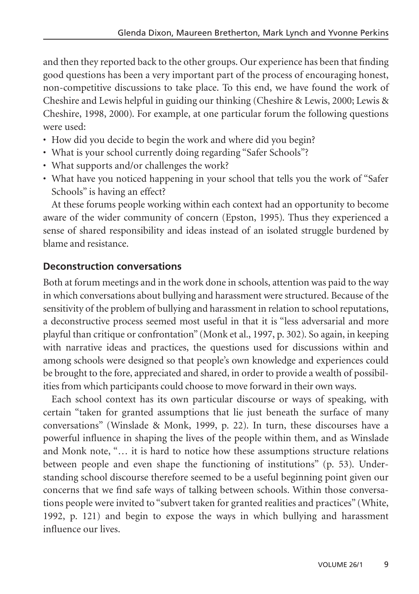and then they reported back to the other groups. Our experience has been that finding good questions has been a very important part of the process of encouraging honest, non-competitive discussions to take place. To this end, we have found the work of Cheshire and Lewis helpful in guiding our thinking (Cheshire & Lewis, 2000; Lewis & Cheshire, 1998, 2000). For example, at one particular forum the following questions were used:

- How did you decide to begin the work and where did you begin?
- What is your school currently doing regarding "Safer Schools"?
- What supports and/or challenges the work?
- What have you noticed happening in your school that tells you the work of "Safer Schools" is having an effect?

At these forums people working within each context had an opportunity to become aware of the wider community of concern (Epston, 1995). Thus they experienced a sense of shared responsibility and ideas instead of an isolated struggle burdened by blame and resistance.

### **Deconstruction conversations**

Both at forum meetings and in the work done in schools, attention was paid to the way in which conversations about bullying and harassment were structured. Because of the sensitivity of the problem of bullying and harassment in relation to school reputations, a deconstructive process seemed most useful in that it is "less adversarial and more playful than critique or confrontation" (Monk et al., 1997, p. 302). So again, in keeping with narrative ideas and practices, the questions used for discussions within and among schools were designed so that people's own knowledge and experiences could be brought to the fore, appreciated and shared, in order to provide a wealth of possibilities from which participants could choose to move forward in their own ways.

Each school context has its own particular discourse or ways of speaking, with certain "taken for granted assumptions that lie just beneath the surface of many conversations" (Winslade & Monk, 1999, p. 22). In turn, these discourses have a powerful influence in shaping the lives of the people within them, and as Winslade and Monk note, "… it is hard to notice how these assumptions structure relations between people and even shape the functioning of institutions" (p. 53). Understanding school discourse therefore seemed to be a useful beginning point given our concerns that we find safe ways of talking between schools. Within those conversations people were invited to "subvert taken for granted realities and practices" (White, 1992, p. 121) and begin to expose the ways in which bullying and harassment influence our lives.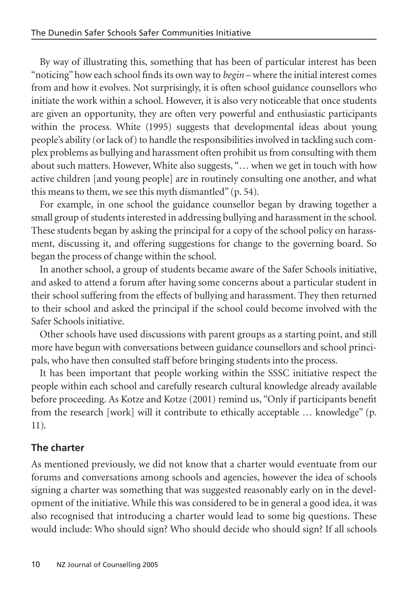By way of illustrating this, something that has been of particular interest has been "noticing" how each school finds its own way to *begin* – where the initial interest comes from and how it evolves. Not surprisingly, it is often school guidance counsellors who initiate the work within a school. However, it is also very noticeable that once students are given an opportunity, they are often very powerful and enthusiastic participants within the process. White (1995) suggests that developmental ideas about young people's ability (or lack of) to handle the responsibilities involved in tackling such complex problems as bullying and harassment often prohibit us from consulting with them about such matters. However, White also suggests, "… when we get in touch with how active children [and young people] are in routinely consulting one another, and what this means to them, we see this myth dismantled" (p. 54).

For example, in one school the guidance counsellor began by drawing together a small group of students interested in addressing bullying and harassment in the school. These students began by asking the principal for a copy of the school policy on harassment, discussing it, and offering suggestions for change to the governing board. So began the process of change within the school.

In another school, a group of students became aware of the Safer Schools initiative, and asked to attend a forum after having some concerns about a particular student in their school suffering from the effects of bullying and harassment. They then returned to their school and asked the principal if the school could become involved with the Safer Schools initiative.

Other schools have used discussions with parent groups as a starting point, and still more have begun with conversations between guidance counsellors and school principals, who have then consulted staff before bringing students into the process.

It has been important that people working within the SSSC initiative respect the people within each school and carefully research cultural knowledge already available before proceeding. As Kotze and Kotze (2001) remind us, "Only if participants benefit from the research [work] will it contribute to ethically acceptable … knowledge" (p. 11).

## **The charter**

As mentioned previously, we did not know that a charter would eventuate from our forums and conversations among schools and agencies, however the idea of schools signing a charter was something that was suggested reasonably early on in the development of the initiative. While this was considered to be in general a good idea, it was also recognised that introducing a charter would lead to some big questions. These would include: Who should sign? Who should decide who should sign? If all schools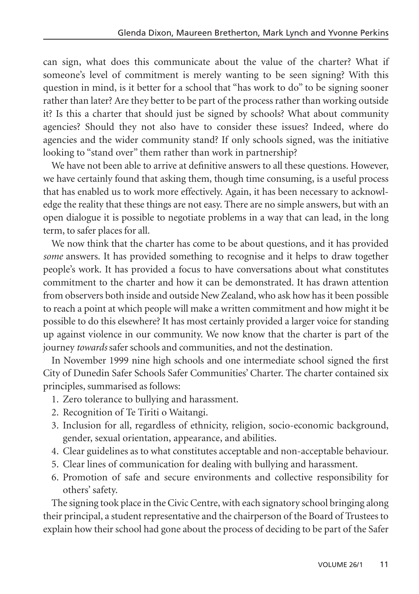can sign, what does this communicate about the value of the charter? What if someone's level of commitment is merely wanting to be seen signing? With this question in mind, is it better for a school that "has work to do" to be signing sooner rather than later? Are they better to be part of the process rather than working outside it? Is this a charter that should just be signed by schools? What about community agencies? Should they not also have to consider these issues? Indeed, where do agencies and the wider community stand? If only schools signed, was the initiative looking to "stand over" them rather than work in partnership?

We have not been able to arrive at definitive answers to all these questions. However, we have certainly found that asking them, though time consuming, is a useful process that has enabled us to work more effectively. Again, it has been necessary to acknowledge the reality that these things are not easy. There are no simple answers, but with an open dialogue it is possible to negotiate problems in a way that can lead, in the long term, to safer places for all.

We now think that the charter has come to be about questions, and it has provided *some* answers. It has provided something to recognise and it helps to draw together people's work. It has provided a focus to have conversations about what constitutes commitment to the charter and how it can be demonstrated. It has drawn attention from observers both inside and outside New Zealand, who ask how has it been possible to reach a point at which people will make a written commitment and how might it be possible to do this elsewhere? It has most certainly provided a larger voice for standing up against violence in our community. We now know that the charter is part of the journey *towards* safer schools and communities, and not the destination.

In November 1999 nine high schools and one intermediate school signed the first City of Dunedin Safer Schools Safer Communities' Charter. The charter contained six principles, summarised as follows:

- 1. Zero tolerance to bullying and harassment.
- 2. Recognition of Te Tiriti o Waitangi.
- 3. Inclusion for all, regardless of ethnicity, religion, socio-economic background, gender, sexual orientation, appearance, and abilities.
- 4. Clear guidelines as to what constitutes acceptable and non-acceptable behaviour.
- 5. Clear lines of communication for dealing with bullying and harassment.
- 6. Promotion of safe and secure environments and collective responsibility for others' safety.

The signing took place in the Civic Centre, with each signatory school bringing along their principal, a student representative and the chairperson of the Board of Trustees to explain how their school had gone about the process of deciding to be part of the Safer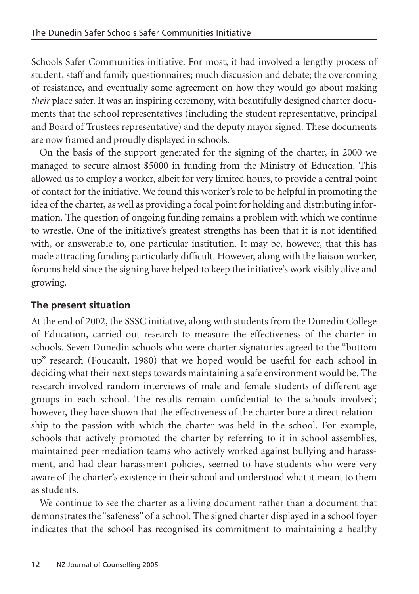Schools Safer Communities initiative. For most, it had involved a lengthy process of student, staff and family questionnaires; much discussion and debate; the overcoming of resistance, and eventually some agreement on how they would go about making *their* place safer. It was an inspiring ceremony, with beautifully designed charter documents that the school representatives (including the student representative, principal and Board of Trustees representative) and the deputy mayor signed. These documents are now framed and proudly displayed in schools.

On the basis of the support generated for the signing of the charter, in 2000 we managed to secure almost \$5000 in funding from the Ministry of Education. This allowed us to employ a worker, albeit for very limited hours, to provide a central point of contact for the initiative. We found this worker's role to be helpful in promoting the idea of the charter, as well as providing a focal point for holding and distributing information. The question of ongoing funding remains a problem with which we continue to wrestle. One of the initiative's greatest strengths has been that it is not identified with, or answerable to, one particular institution. It may be, however, that this has made attracting funding particularly difficult. However, along with the liaison worker, forums held since the signing have helped to keep the initiative's work visibly alive and growing.

## **The present situation**

At the end of 2002, the SSSC initiative, along with students from the Dunedin College of Education, carried out research to measure the effectiveness of the charter in schools. Seven Dunedin schools who were charter signatories agreed to the "bottom up" research (Foucault, 1980) that we hoped would be useful for each school in deciding what their next steps towards maintaining a safe environment would be. The research involved random interviews of male and female students of different age groups in each school. The results remain confidential to the schools involved; however, they have shown that the effectiveness of the charter bore a direct relationship to the passion with which the charter was held in the school. For example, schools that actively promoted the charter by referring to it in school assemblies, maintained peer mediation teams who actively worked against bullying and harassment, and had clear harassment policies, seemed to have students who were very aware of the charter's existence in their school and understood what it meant to them as students.

We continue to see the charter as a living document rather than a document that demonstrates the "safeness" of a school. The signed charter displayed in a school foyer indicates that the school has recognised its commitment to maintaining a healthy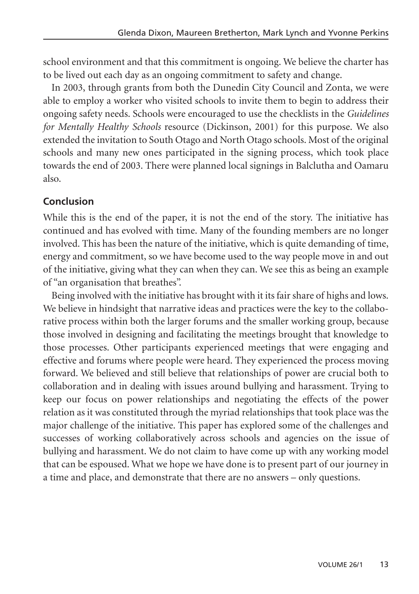school environment and that this commitment is ongoing. We believe the charter has to be lived out each day as an ongoing commitment to safety and change.

In 2003, through grants from both the Dunedin City Council and Zonta, we were able to employ a worker who visited schools to invite them to begin to address their ongoing safety needs. Schools were encouraged to use the checklists in the *Guidelines for Mentally Healthy Schools* resource (Dickinson, 2001) for this purpose. We also extended the invitation to South Otago and North Otago schools. Most of the original schools and many new ones participated in the signing process, which took place towards the end of 2003. There were planned local signings in Balclutha and Oamaru also.

#### **Conclusion**

While this is the end of the paper, it is not the end of the story. The initiative has continued and has evolved with time. Many of the founding members are no longer involved. This has been the nature of the initiative, which is quite demanding of time, energy and commitment, so we have become used to the way people move in and out of the initiative, giving what they can when they can. We see this as being an example of "an organisation that breathes".

Being involved with the initiative has brought with it its fair share of highs and lows. We believe in hindsight that narrative ideas and practices were the key to the collaborative process within both the larger forums and the smaller working group, because those involved in designing and facilitating the meetings brought that knowledge to those processes. Other participants experienced meetings that were engaging and effective and forums where people were heard. They experienced the process moving forward. We believed and still believe that relationships of power are crucial both to collaboration and in dealing with issues around bullying and harassment. Trying to keep our focus on power relationships and negotiating the effects of the power relation as it was constituted through the myriad relationships that took place was the major challenge of the initiative. This paper has explored some of the challenges and successes of working collaboratively across schools and agencies on the issue of bullying and harassment. We do not claim to have come up with any working model that can be espoused. What we hope we have done is to present part of our journey in a time and place, and demonstrate that there are no answers – only questions.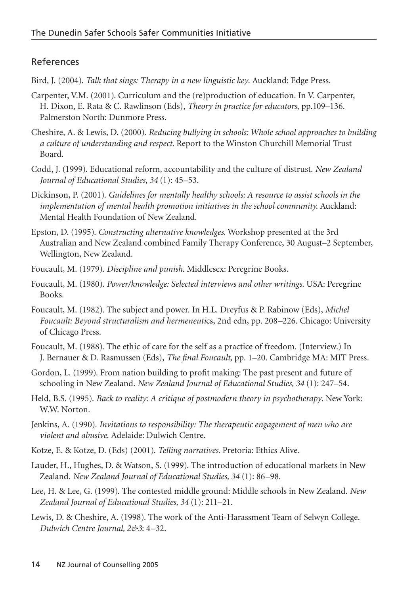#### References

Bird, J. (2004). *Talk that sings: Therapy in a new linguistic key*. Auckland: Edge Press.

- Carpenter, V.M. (2001). Curriculum and the (re)production of education. In V. Carpenter, H. Dixon, E. Rata & C. Rawlinson (Eds), *Theory in practice for educators*, pp.109–136. Palmerston North: Dunmore Press.
- Cheshire, A. & Lewis, D. (2000). *Reducing bullying in schools: Whole school approaches to building a culture of understanding and respect.* Report to the Winston Churchill Memorial Trust Board.
- Codd, J. (1999). Educational reform, accountability and the culture of distrust. *New Zealand Journal of Educational Studies, 34* (1): 45–53.
- Dickinson, P. (2001). *Guidelines for mentally healthy schools: A resource to assist schools in the implementation of mental health promotion initiatives in the school community.* Auckland: Mental Health Foundation of New Zealand.
- Epston, D. (1995). *Constructing alternative knowledges.* Workshop presented at the 3rd Australian and New Zealand combined Family Therapy Conference, 30 August–2 September, Wellington, New Zealand.
- Foucault, M. (1979). *Discipline and punish*. Middlesex: Peregrine Books.
- Foucault, M. (1980). *Power/knowledge: Selected interviews and other writings.* USA: Peregrine Books.
- Foucault, M. (1982). The subject and power. In H.L. Dreyfus & P. Rabinow (Eds), *Michel Foucault: Beyond structuralism and hermeneuti*cs, 2nd edn, pp. 208–226. Chicago: University of Chicago Press.
- Foucault, M. (1988). The ethic of care for the self as a practice of freedom. (Interview.) In J. Bernauer & D. Rasmussen (Eds), *The final Foucault*, pp. 1–20. Cambridge MA: MIT Press.
- Gordon, L. (1999). From nation building to profit making: The past present and future of schooling in New Zealand. *New Zealand Journal of Educational Studies, 34* (1): 247–54.
- Held, B.S. (1995). *Back to reality: A critique of postmodern theory in psychotherapy*. New York: W.W. Norton.
- Jenkins, A. (1990). *Invitations to responsibility: The therapeutic engagement of men who are violent and abusive*. Adelaide: Dulwich Centre.
- Kotze, E. & Kotze, D. (Eds) (2001). *Telling narratives*. Pretoria: Ethics Alive.
- Lauder, H., Hughes, D. & Watson, S. (1999). The introduction of educational markets in New Zealand. *New Zealand Journal of Educational Studies, 34* (1): 86–98.
- Lee, H. & Lee, G. (1999). The contested middle ground: Middle schools in New Zealand. *New Zealand Journal of Educational Studies, 34* (1): 211–21.
- Lewis, D. & Cheshire, A. (1998). The work of the Anti-Harassment Team of Selwyn College. *Dulwich Centre Journal, 2&3*: 4–32.